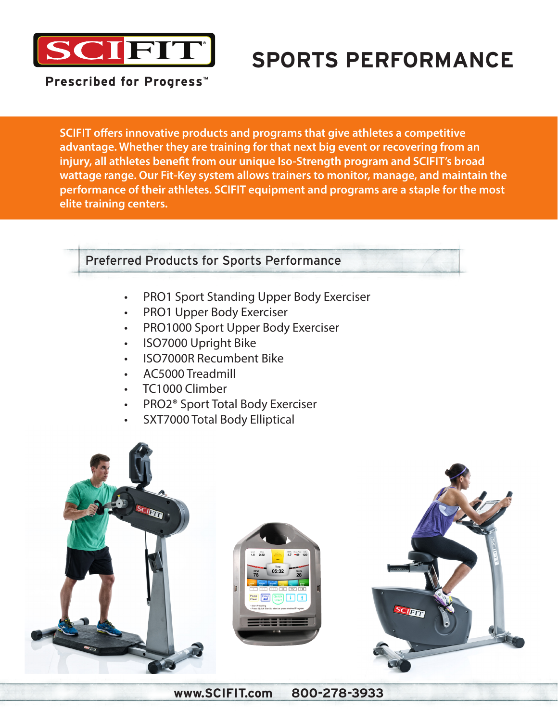

# **SPORTS PERFORMANCE**

Prescribed for Progress<sup>™</sup>

**SCIFIT offers innovative products and programs that give athletes a competitive advantage. Whether they are training for that next big event or recovering from an injury, all athletes benefit from our unique Iso-Strength program and SCIFIT's broad wattage range. Our Fit-Key system allows trainers to monitor, manage, and maintain the performance of their athletes. SCIFIT equipment and programs are a staple for the most elite training centers.**

### Preferred Products for Sports Performance

- PRO1 Sport Standing Upper Body Exerciser
- PRO1 Upper Body Exerciser
- PRO1000 Sport Upper Body Exerciser
- ISO7000 Upright Bike
- ISO7000R Recumbent Bike
- AC5000 Treadmill
- TC1000 Climber
- PRO2® Sport Total Body Exerciser
- SXT7000 Total Body Elliptical